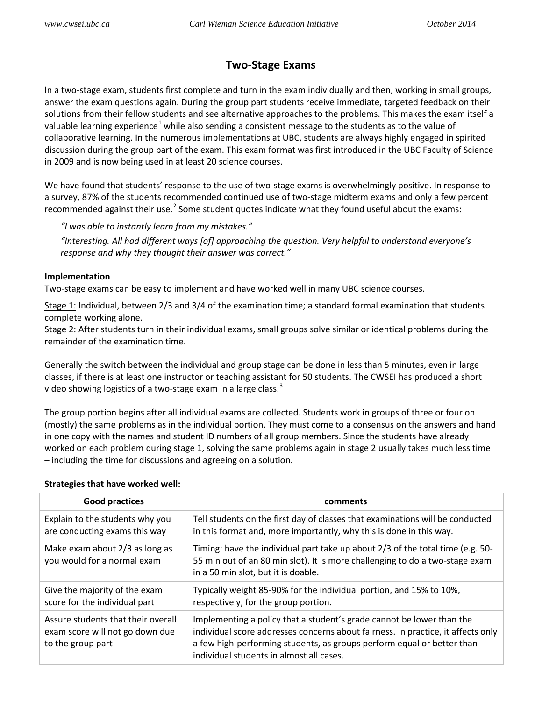## **Two-Stage Exams**

In a two-stage exam, students first complete and turn in the exam individually and then, working in small groups, answer the exam questions again. During the group part students receive immediate, targeted feedback on their solutions from their fellow students and see alternative approaches to the problems. This makes the exam itself a valuable learning experience<sup>[1](#page-1-0)</sup> while also sending a consistent message to the students as to the value of collaborative learning. In the numerous implementations at UBC, students are always highly engaged in spirited discussion during the group part of the exam. This exam format was first introduced in the UBC Faculty of Science in 2009 and is now being used in at least 20 science courses.

We have found that students' response to the use of two-stage exams is overwhelmingly positive. In response to a survey, 87% of the students recommended continued use of two-stage midterm exams and only a few percent recommended against their use. $2$  Some student quotes indicate what they found useful about the exams:

*"I was able to instantly learn from my mistakes."*

*"Interesting. All had different ways [of] approaching the question. Very helpful to understand everyone's response and why they thought their answer was correct."*

## **Implementation**

Two-stage exams can be easy to implement and have worked well in many UBC science courses.

Stage 1: Individual, between 2/3 and 3/4 of the examination time; a standard formal examination that students complete working alone.

Stage 2: After students turn in their individual exams, small groups solve similar or identical problems during the remainder of the examination time.

Generally the switch between the individual and group stage can be done in less than 5 minutes, even in large classes, if there is at least one instructor or teaching assistant for 50 students. The CWSEI has produced a short video showing logistics of a two-stage exam in a large class.<sup>[3](#page-1-2)</sup>

The group portion begins after all individual exams are collected. Students work in groups of three or four on (mostly) the same problems as in the individual portion. They must come to a consensus on the answers and hand in one copy with the names and student ID numbers of all group members. Since the students have already worked on each problem during stage 1, solving the same problems again in stage 2 usually takes much less time – including the time for discussions and agreeing on a solution.

| <b>Good practices</b>                                                                      | comments                                                                                                                                                                                                                                                                        |
|--------------------------------------------------------------------------------------------|---------------------------------------------------------------------------------------------------------------------------------------------------------------------------------------------------------------------------------------------------------------------------------|
| Explain to the students why you<br>are conducting exams this way                           | Tell students on the first day of classes that examinations will be conducted<br>in this format and, more importantly, why this is done in this way.                                                                                                                            |
| Make exam about 2/3 as long as<br>you would for a normal exam                              | Timing: have the individual part take up about 2/3 of the total time (e.g. 50-<br>55 min out of an 80 min slot). It is more challenging to do a two-stage exam<br>in a 50 min slot, but it is doable.                                                                           |
| Give the majority of the exam<br>score for the individual part                             | Typically weight 85-90% for the individual portion, and 15% to 10%,<br>respectively, for the group portion.                                                                                                                                                                     |
| Assure students that their overall<br>exam score will not go down due<br>to the group part | Implementing a policy that a student's grade cannot be lower than the<br>individual score addresses concerns about fairness. In practice, it affects only<br>a few high-performing students, as groups perform equal or better than<br>individual students in almost all cases. |

## **Strategies that have worked well:**